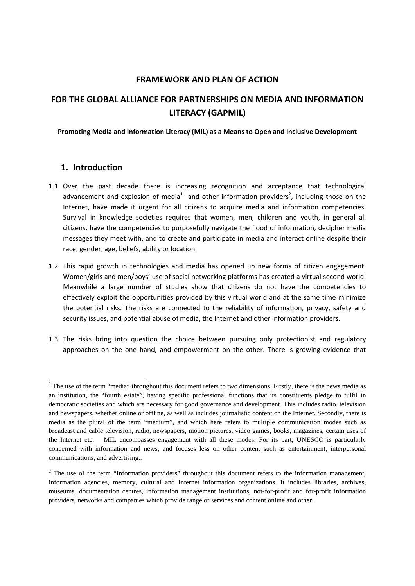### **FRAMEWORK AND PLAN OF ACTION**

# **FOR THE GLOBAL ALLIANCE FOR PARTNERSHIPS ON MEDIA AND INFORMATION LITERACY (GAPMIL)**

#### **Promoting Media and Information Literacy (MIL) as a Means to Open and Inclusive Development**

### **1. Introduction**

<u>.</u>

- 1.1 Over the past decade there is increasing recognition and acceptance that technological advancement and explosion of media<sup>1</sup> and other information providers<sup>2</sup>, including those on the Internet, have made it urgent for all citizens to acquire media and information competencies. Survival in knowledge societies requires that women, men, children and youth, in general all citizens, have the competencies to purposefully navigate the flood of information, decipher media messages they meet with, and to create and participate in media and interact online despite their race, gender, age, beliefs, ability or location.
- 1.2 This rapid growth in technologies and media has opened up new forms of citizen engagement. Women/girls and men/boys' use of social networking platforms has created a virtual second world. Meanwhile a large number of studies show that citizens do not have the competencies to effectively exploit the opportunities provided by this virtual world and at the same time minimize the potential risks. The risks are connected to the reliability of information, privacy, safety and security issues, and potential abuse of media, the Internet and other information providers.
- 1.3 The risks bring into question the choice between pursuing only protectionist and regulatory approaches on the one hand, and empowerment on the other. There is growing evidence that

 $1$  The use of the term "media" throughout this document refers to two dimensions. Firstly, there is the news media as an institution, the "fourth estate", having specific professional functions that its constituents pledge to fulfil in democratic societies and which are necessary for good governance and development. This includes radio, television and newspapers, whether online or offline, as well as includes journalistic content on the Internet. Secondly, there is media as the plural of the term "medium", and which here refers to multiple communication modes such as broadcast and cable television, radio, newspapers, motion pictures, video games, books, magazines, certain uses of the Internet etc. MIL encompasses engagement with all these modes. For its part, UNESCO is particularly concerned with information and news, and focuses less on other content such as entertainment, interpersonal communications, and advertising..

 $2$  The use of the term "Information providers" throughout this document refers to the information management, information agencies, memory, cultural and Internet information organizations. It includes libraries, archives, museums, documentation centres, information management institutions, not-for-profit and for-profit information providers, networks and companies which provide range of services and content online and other.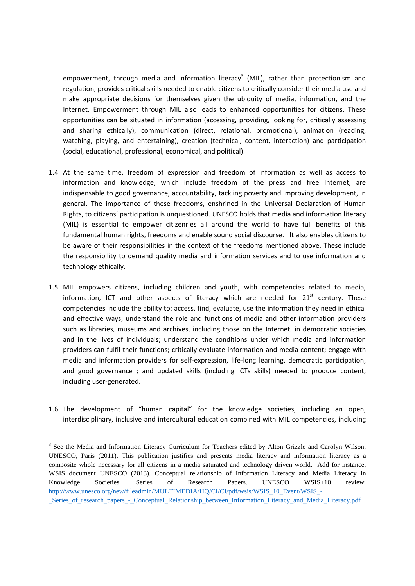empowerment, through media and information literacy<sup>3</sup> (MIL), rather than protectionism and regulation, provides critical skills needed to enable citizens to critically consider their media use and make appropriate decisions for themselves given the ubiquity of media, information, and the Internet. Empowerment through MIL also leads to enhanced opportunities for citizens. These opportunities can be situated in information (accessing, providing, looking for, critically assessing and sharing ethically), communication (direct, relational, promotional), animation (reading, watching, playing, and entertaining), creation (technical, content, interaction) and participation (social, educational, professional, economical, and political).

- 1.4 At the same time, freedom of expression and freedom of information as well as access to information and knowledge, which include freedom of the press and free Internet, are indispensable to good governance, accountability, tackling poverty and improving development, in general. The importance of these freedoms, enshrined in the Universal Declaration of Human Rights, to citizens' participation is unquestioned. UNESCO holds that media and information literacy (MIL) is essential to empower citizenries all around the world to have full benefits of this fundamental human rights, freedoms and enable sound social discourse. It also enables citizens to be aware of their responsibilities in the context of the freedoms mentioned above. These include the responsibility to demand quality media and information services and to use information and technology ethically.
- 1.5 MIL empowers citizens, including children and youth, with competencies related to media, information, ICT and other aspects of literacy which are needed for  $21<sup>st</sup>$  century. These competencies include the ability to: access, find, evaluate, use the information they need in ethical and effective ways; understand the role and functions of media and other information providers such as libraries, museums and archives, including those on the Internet, in democratic societies and in the lives of individuals; understand the conditions under which media and information providers can fulfil their functions; critically evaluate information and media content; engage with media and information providers for self‐expression, life‐long learning, democratic participation, and good governance ; and updated skills (including ICTs skills) needed to produce content, including user‐generated.
- 1.6 The development of "human capital" for the knowledge societies, including an open, interdisciplinary, inclusive and intercultural education combined with MIL competencies, including

<u>.</u>

<sup>&</sup>lt;sup>3</sup> See the Media and Information Literacy Curriculum for Teachers edited by Alton Grizzle and Carolyn Wilson, UNESCO, Paris (2011). This publication justifies and presents media literacy and information literacy as a composite whole necessary for all citizens in a media saturated and technology driven world. Add for instance, WSIS document UNESCO (2013). Conceptual relationship of Information Literacy and Media Literacy in Knowledge Societies. Series of Research Papers. UNESCO WSIS+10 review. http://www.unesco.org/new/fileadmin/MULTIMEDIA/HQ/CI/CI/pdf/wsis/WSIS\_10\_Event/WSIS\_-\_Series\_of\_research\_papers\_-\_Conceptual\_Relationship\_between\_Information\_Literacy\_and\_Media\_Literacy.pdf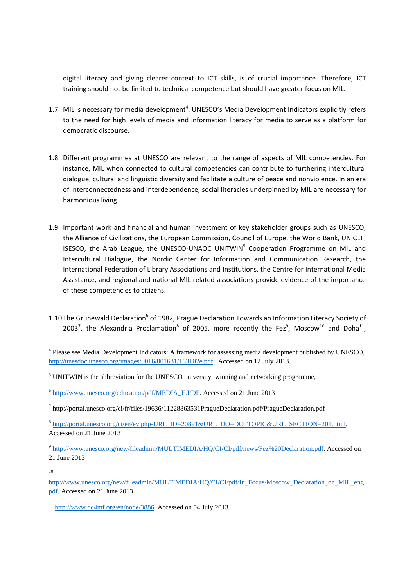digital literacy and giving clearer context to ICT skills, is of crucial importance. Therefore, ICT training should not be limited to technical competence but should have greater focus on MIL.

- 1.7 MIL is necessary for media development<sup>4</sup>. UNESCO's Media Development Indicators explicitly refers to the need for high levels of media and information literacy for media to serve as a platform for democratic discourse.
- 1.8 Different programmes at UNESCO are relevant to the range of aspects of MIL competencies. For instance, MIL when connected to cultural competencies can contribute to furthering intercultural dialogue, cultural and linguistic diversity and facilitate a culture of peace and nonviolence. In an era of interconnectedness and interdependence, social literacies underpinned by MIL are necessary for harmonious living.
- 1.9 Important work and financial and human investment of key stakeholder groups such as UNESCO, the Alliance of Civilizations, the European Commission, Council of Europe, the World Bank, UNICEF, ISESCO, the Arab League, the UNESCO-UNAOC UNITWIN<sup>5</sup> Cooperation Programme on MIL and Intercultural Dialogue, the Nordic Center for Information and Communication Research, the International Federation of Library Associations and Institutions, the Centre for International Media Assistance, and regional and national MIL related associations provide evidence of the importance of these competencies to citizens.
- 1.10 The Grunewald Declaration<sup>6</sup> of 1982, Prague Declaration Towards an Information Literacy Society of 2003<sup>7</sup>, the Alexandria Proclamation<sup>8</sup> of 2005, more recently the Fez<sup>9</sup>, Moscow<sup>10</sup> and Doha<sup>11</sup>,

<u>.</u>

<sup>&</sup>lt;sup>4</sup> Please see Media Development Indicators: A framework for assessing media development published by UNESCO, http://unesdoc.unesco.org/images/0016/001631/163102e.pdf. Accessed on 12 July 2013.

 $<sup>5</sup>$  UNITWIN is the abbreviation for the UNESCO university twinning and networking programme,</sup>

<sup>6</sup> http://www.unesco.org/education/pdf/MEDIA\_E.PDF. Accessed on 21 June 2013

<sup>&</sup>lt;sup>7</sup> http://portal.unesco.org/ci/fr/files/19636/11228863531PragueDeclaration.pdf/PragueDeclaration.pdf

<sup>8</sup> http://portal.unesco.org/ci/en/ev.php-URL\_ID=20891&URL\_DO=DO\_TOPIC&URL\_SECTION=201.html. Accessed on 21 June 2013

<sup>9</sup> http://www.unesco.org/new/fileadmin/MULTIMEDIA/HQ/CI/CI/pdf/news/Fez%20Declaration.pdf. Accessed on 21 June 2013

<sup>10</sup>

http://www.unesco.org/new/fileadmin/MULTIMEDIA/HQ/CI/CI/pdf/In\_Focus/Moscow\_Declaration\_on\_MIL\_eng. pdf. Accessed on 21 June 2013

<sup>11</sup> http://www.dc4mf.org/en/node/3886. Accessed on 04 July 2013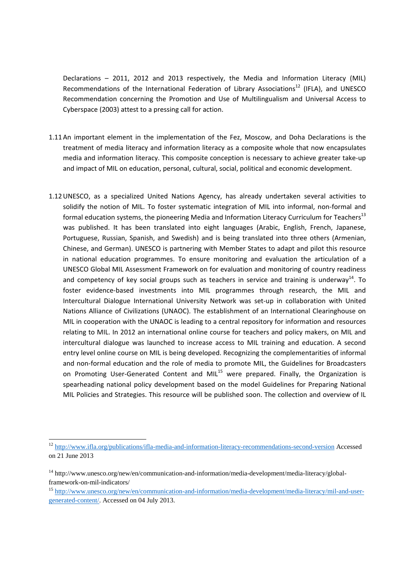Declarations – 2011, 2012 and 2013 respectively, the Media and Information Literacy (MIL) Recommendations of the International Federation of Library Associations<sup>12</sup> (IFLA), and UNESCO Recommendation concerning the Promotion and Use of Multilingualism and Universal Access to Cyberspace (2003) attest to a pressing call for action.

- 1.11An important element in the implementation of the Fez, Moscow, and Doha Declarations is the treatment of media literacy and information literacy as a composite whole that now encapsulates media and information literacy. This composite conception is necessary to achieve greater take‐up and impact of MIL on education, personal, cultural, social, political and economic development.
- 1.12UNESCO, as a specialized United Nations Agency, has already undertaken several activities to solidify the notion of MIL. To foster systematic integration of MIL into informal, non-formal and formal education systems, the pioneering Media and Information Literacy Curriculum for Teachers<sup>13</sup> was published. It has been translated into eight languages (Arabic, English, French, Japanese, Portuguese, Russian, Spanish, and Swedish) and is being translated into three others (Armenian, Chinese, and German). UNESCO is partnering with Member States to adapt and pilot this resource in national education programmes. To ensure monitoring and evaluation the articulation of a UNESCO Global MIL Assessment Framework on for evaluation and monitoring of country readiness and competency of key social groups such as teachers in service and training is underway<sup>14</sup>. To foster evidence-based investments into MIL programmes through research, the MIL and Intercultural Dialogue International University Network was set‐up in collaboration with United Nations Alliance of Civilizations (UNAOC). The establishment of an International Clearinghouse on MIL in cooperation with the UNAOC is leading to a central repository for information and resources relating to MIL. In 2012 an international online course for teachers and policy makers, on MIL and intercultural dialogue was launched to increase access to MIL training and education. A second entry level online course on MIL is being developed. Recognizing the complementarities of informal and non‐formal education and the role of media to promote MIL, the Guidelines for Broadcasters on Promoting User-Generated Content and MIL<sup>15</sup> were prepared. Finally, the Organization is spearheading national policy development based on the model Guidelines for Preparing National MIL Policies and Strategies. This resource will be published soon. The collection and overview of IL

<sup>&</sup>lt;u>.</u> <sup>12</sup> http://www.ifla.org/publications/ifla-media-and-information-literacy-recommendations-second-version Accessed on 21 June 2013

<sup>&</sup>lt;sup>14</sup> http://www.unesco.org/new/en/communication-and-information/media-development/media-literacy/globalframework-on-mil-indicators/

<sup>15</sup> http://www.unesco.org/new/en/communication-and-information/media-development/media-literacy/mil-and-usergenerated-content/. Accessed on 04 July 2013.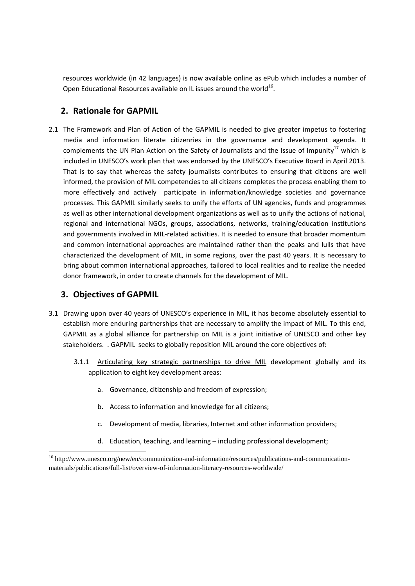resources worldwide (in 42 languages) is now available online as ePub which includes a number of Open Educational Resources available on IL issues around the world<sup>16</sup>.

# **2. Rationale for GAPMIL**

2.1 The Framework and Plan of Action of the GAPMIL is needed to give greater impetus to fostering media and information literate citizenries in the governance and development agenda. It complements the UN Plan Action on the Safety of Journalists and the Issue of Impunity<sup>17</sup> which is included in UNESCO's work plan that was endorsed by the UNESCO's Executive Board in April 2013. That is to say that whereas the safety journalists contributes to ensuring that citizens are well informed, the provision of MIL competencies to all citizens completes the process enabling them to more effectively and actively participate in information/knowledge societies and governance processes. This GAPMIL similarly seeks to unify the efforts of UN agencies, funds and programmes as well as other international development organizations as well as to unify the actions of national, regional and international NGOs, groups, associations, networks, training/education institutions and governments involved in MIL‐related activities. It is needed to ensure that broader momentum and common international approaches are maintained rather than the peaks and lulls that have characterized the development of MIL, in some regions, over the past 40 years. It is necessary to bring about common international approaches, tailored to local realities and to realize the needed donor framework, in order to create channels for the development of MIL.

# **3. Objectives of GAPMIL**

-

- 3.1 Drawing upon over 40 years of UNESCO's experience in MIL, it has become absolutely essential to establish more enduring partnerships that are necessary to amplify the impact of MIL. To this end, GAPMIL as a global alliance for partnership on MIL is a joint initiative of UNESCO and other key stakeholders. . GAPMIL seeks to globally reposition MIL around the core objectives of:
	- 3.1.1 Articulating key strategic partnerships to drive MIL development globally and its application to eight key development areas:
		- a. Governance, citizenship and freedom of expression;
		- b. Access to information and knowledge for all citizens;
		- c. Development of media, libraries, Internet and other information providers;
		- d. Education, teaching, and learning including professional development;

<sup>&</sup>lt;sup>16</sup> http://www.unesco.org/new/en/communication-and-information/resources/publications-and-communicationmaterials/publications/full-list/overview-of-information-literacy-resources-worldwide/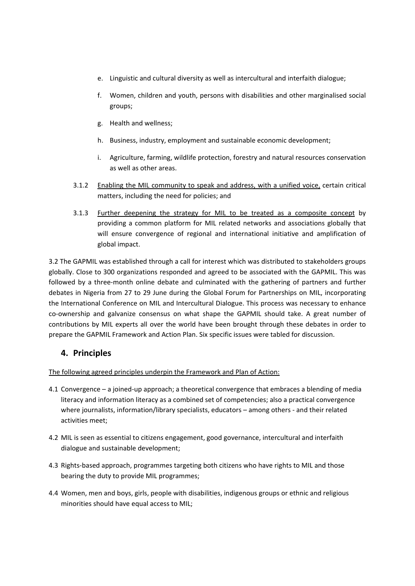- e. Linguistic and cultural diversity as well as intercultural and interfaith dialogue;
- f. Women, children and youth, persons with disabilities and other marginalised social groups;
- g. Health and wellness;
- h. Business, industry, employment and sustainable economic development;
- i. Agriculture, farming, wildlife protection, forestry and natural resources conservation as well as other areas.
- 3.1.2 Enabling the MIL community to speak and address, with a unified voice, certain critical matters, including the need for policies; and
- 3.1.3 Further deepening the strategy for MIL to be treated as a composite concept by providing a common platform for MIL related networks and associations globally that will ensure convergence of regional and international initiative and amplification of global impact.

3.2 The GAPMIL was established through a call for interest which was distributed to stakeholders groups globally. Close to 300 organizations responded and agreed to be associated with the GAPMIL. This was followed by a three‐month online debate and culminated with the gathering of partners and further debates in Nigeria from 27 to 29 June during the Global Forum for Partnerships on MIL, incorporating the International Conference on MIL and Intercultural Dialogue. This process was necessary to enhance co-ownership and galvanize consensus on what shape the GAPMIL should take. A great number of contributions by MIL experts all over the world have been brought through these debates in order to prepare the GAPMIL Framework and Action Plan. Six specific issues were tabled for discussion.

## **4. Principles**

The following agreed principles underpin the Framework and Plan of Action:

- 4.1 Convergence a joined‐up approach; a theoretical convergence that embraces a blending of media literacy and information literacy as a combined set of competencies; also a practical convergence where journalists, information/library specialists, educators – among others - and their related activities meet;
- 4.2 MIL is seen as essential to citizens engagement, good governance, intercultural and interfaith dialogue and sustainable development;
- 4.3 Rights-based approach, programmes targeting both citizens who have rights to MIL and those bearing the duty to provide MIL programmes;
- 4.4 Women, men and boys, girls, people with disabilities, indigenous groups or ethnic and religious minorities should have equal access to MIL;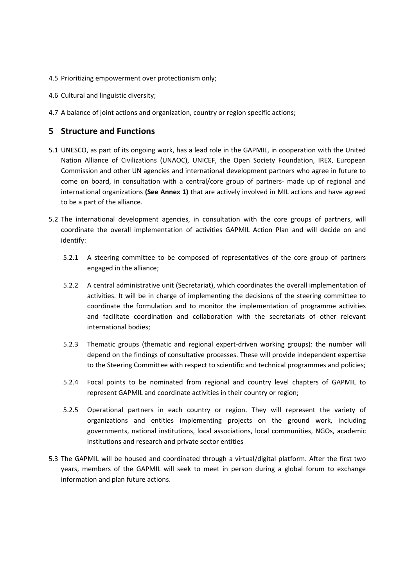- 4.5 Prioritizing empowerment over protectionism only;
- 4.6 Cultural and linguistic diversity;
- 4.7 A balance of joint actions and organization, country or region specific actions;

### **5 Structure and Functions**

- 5.1 UNESCO, as part of its ongoing work, has a lead role in the GAPMIL, in cooperation with the United Nation Alliance of Civilizations (UNAOC), UNICEF, the Open Society Foundation, IREX, European Commission and other UN agencies and international development partners who agree in future to come on board, in consultation with a central/core group of partners- made up of regional and international organizations **(See Annex 1)** that are actively involved in MIL actions and have agreed to be a part of the alliance.
- 5.2 The international development agencies, in consultation with the core groups of partners, will coordinate the overall implementation of activities GAPMIL Action Plan and will decide on and identify:
	- 5.2.1 A steering committee to be composed of representatives of the core group of partners engaged in the alliance;
	- 5.2.2 A central administrative unit (Secretariat), which coordinates the overall implementation of activities. It will be in charge of implementing the decisions of the steering committee to coordinate the formulation and to monitor the implementation of programme activities and facilitate coordination and collaboration with the secretariats of other relevant international bodies;
	- 5.2.3 Thematic groups (thematic and regional expert-driven working groups): the number will depend on the findings of consultative processes. These will provide independent expertise to the Steering Committee with respect to scientific and technical programmes and policies;
	- 5.2.4 Focal points to be nominated from regional and country level chapters of GAPMIL to represent GAPMIL and coordinate activities in their country or region;
	- 5.2.5 Operational partners in each country or region. They will represent the variety of organizations and entities implementing projects on the ground work, including governments, national institutions, local associations, local communities, NGOs, academic institutions and research and private sector entities
- 5.3 The GAPMIL will be housed and coordinated through a virtual/digital platform. After the first two years, members of the GAPMIL will seek to meet in person during a global forum to exchange information and plan future actions.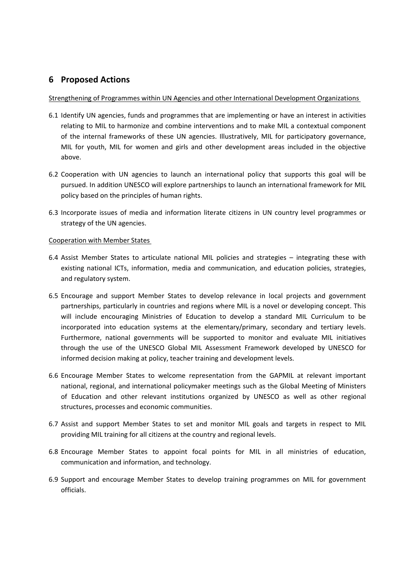# **6 Proposed Actions**

#### Strengthening of Programmes within UN Agencies and other International Development Organizations

- 6.1 Identify UN agencies, funds and programmes that are implementing or have an interest in activities relating to MIL to harmonize and combine interventions and to make MIL a contextual component of the internal frameworks of these UN agencies. Illustratively, MIL for participatory governance, MIL for youth, MIL for women and girls and other development areas included in the objective above.
- 6.2 Cooperation with UN agencies to launch an international policy that supports this goal will be pursued. In addition UNESCO will explore partnerships to launch an international framework for MIL policy based on the principles of human rights.
- 6.3 Incorporate issues of media and information literate citizens in UN country level programmes or strategy of the UN agencies.

#### Cooperation with Member States

- 6.4 Assist Member States to articulate national MIL policies and strategies integrating these with existing national ICTs, information, media and communication, and education policies, strategies, and regulatory system.
- 6.5 Encourage and support Member States to develop relevance in local projects and government partnerships, particularly in countries and regions where MIL is a novel or developing concept. This will include encouraging Ministries of Education to develop a standard MIL Curriculum to be incorporated into education systems at the elementary/primary, secondary and tertiary levels. Furthermore, national governments will be supported to monitor and evaluate MIL initiatives through the use of the UNESCO Global MIL Assessment Framework developed by UNESCO for informed decision making at policy, teacher training and development levels.
- 6.6 Encourage Member States to welcome representation from the GAPMIL at relevant important national, regional, and international policymaker meetings such as the Global Meeting of Ministers of Education and other relevant institutions organized by UNESCO as well as other regional structures, processes and economic communities.
- 6.7 Assist and support Member States to set and monitor MIL goals and targets in respect to MIL providing MIL training for all citizens at the country and regional levels.
- 6.8 Encourage Member States to appoint focal points for MIL in all ministries of education, communication and information, and technology.
- 6.9 Support and encourage Member States to develop training programmes on MIL for government officials.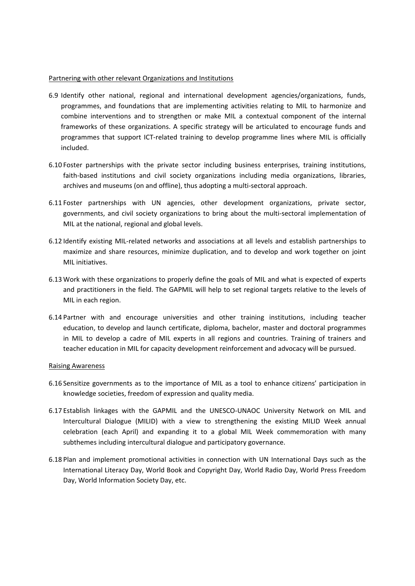#### Partnering with other relevant Organizations and Institutions

- 6.9 Identify other national, regional and international development agencies/organizations, funds, programmes, and foundations that are implementing activities relating to MIL to harmonize and combine interventions and to strengthen or make MIL a contextual component of the internal frameworks of these organizations. A specific strategy will be articulated to encourage funds and programmes that support ICT-related training to develop programme lines where MIL is officially included.
- 6.10 Foster partnerships with the private sector including business enterprises, training institutions, faith-based institutions and civil society organizations including media organizations, libraries, archives and museums (on and offline), thus adopting a multi‐sectoral approach.
- 6.11 Foster partnerships with UN agencies, other development organizations, private sector, governments, and civil society organizations to bring about the multi-sectoral implementation of MIL at the national, regional and global levels.
- 6.12 Identify existing MIL‐related networks and associations at all levels and establish partnerships to maximize and share resources, minimize duplication, and to develop and work together on joint MIL initiatives.
- 6.13 Work with these organizations to properly define the goals of MIL and what is expected of experts and practitioners in the field. The GAPMIL will help to set regional targets relative to the levels of MIL in each region.
- 6.14 Partner with and encourage universities and other training institutions, including teacher education, to develop and launch certificate, diploma, bachelor, master and doctoral programmes in MIL to develop a cadre of MIL experts in all regions and countries. Training of trainers and teacher education in MIL for capacity development reinforcement and advocacy will be pursued.

#### Raising Awareness

- 6.16 Sensitize governments as to the importance of MIL as a tool to enhance citizens' participation in knowledge societies, freedom of expression and quality media.
- 6.17 Establish linkages with the GAPMIL and the UNESCO‐UNAOC University Network on MIL and Intercultural Dialogue (MILID) with a view to strengthening the existing MILID Week annual celebration (each April) and expanding it to a global MIL Week commemoration with many subthemes including intercultural dialogue and participatory governance.
- 6.18 Plan and implement promotional activities in connection with UN International Days such as the International Literacy Day, World Book and Copyright Day, World Radio Day, World Press Freedom Day, World Information Society Day, etc.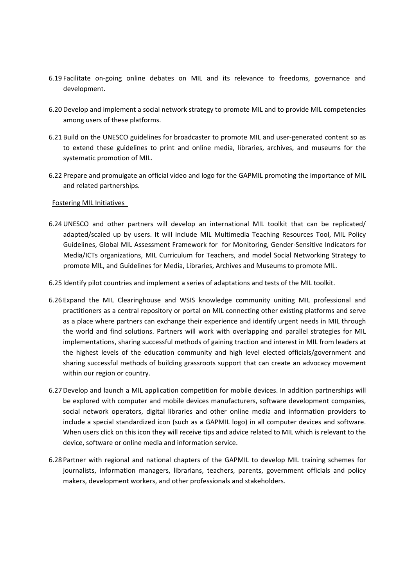- 6.19 Facilitate on‐going online debates on MIL and its relevance to freedoms, governance and development.
- 6.20 Develop and implement a social network strategy to promote MIL and to provide MIL competencies among users of these platforms.
- 6.21 Build on the UNESCO guidelines for broadcaster to promote MIL and user-generated content so as to extend these guidelines to print and online media, libraries, archives, and museums for the systematic promotion of MIL.
- 6.22 Prepare and promulgate an official video and logo for the GAPMIL promoting the importance of MIL and related partnerships.

#### Fostering MIL Initiatives

- 6.24 UNESCO and other partners will develop an international MIL toolkit that can be replicated/ adapted/scaled up by users. It will include MIL Multimedia Teaching Resources Tool, MIL Policy Guidelines, Global MIL Assessment Framework for for Monitoring, Gender‐Sensitive Indicators for Media/ICTs organizations, MIL Curriculum for Teachers, and model Social Networking Strategy to promote MIL, and Guidelines for Media, Libraries, Archives and Museums to promote MIL.
- 6.25 Identify pilot countries and implement a series of adaptations and tests of the MIL toolkit.
- 6.26 Expand the MIL Clearinghouse and WSIS knowledge community uniting MIL professional and practitioners as a central repository or portal on MIL connecting other existing platforms and serve as a place where partners can exchange their experience and identify urgent needs in MIL through the world and find solutions. Partners will work with overlapping and parallel strategies for MIL implementations, sharing successful methods of gaining traction and interest in MIL from leaders at the highest levels of the education community and high level elected officials/government and sharing successful methods of building grassroots support that can create an advocacy movement within our region or country.
- 6.27Develop and launch a MIL application competition for mobile devices. In addition partnerships will be explored with computer and mobile devices manufacturers, software development companies, social network operators, digital libraries and other online media and information providers to include a special standardized icon (such as a GAPMIL logo) in all computer devices and software. When users click on this icon they will receive tips and advice related to MIL which is relevant to the device, software or online media and information service.
- 6.28 Partner with regional and national chapters of the GAPMIL to develop MIL training schemes for journalists, information managers, librarians, teachers, parents, government officials and policy makers, development workers, and other professionals and stakeholders.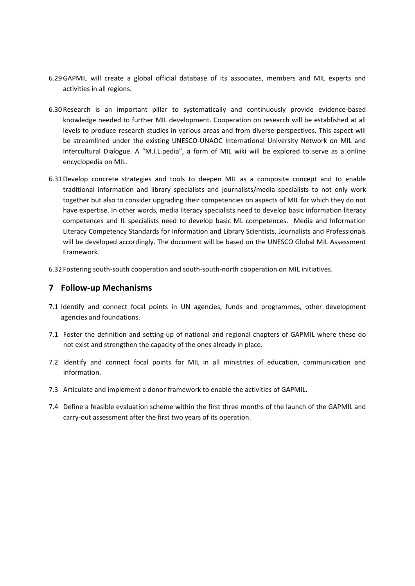- 6.29GAPMIL will create a global official database of its associates, members and MIL experts and activities in all regions.
- 6.30Research is an important pillar to systematically and continuously provide evidence‐based knowledge needed to further MIL development. Cooperation on research will be established at all levels to produce research studies in various areas and from diverse perspectives. This aspect will be streamlined under the existing UNESCO‐UNAOC International University Network on MIL and Intercultural Dialogue. A "M.I.L.pedia", a form of MIL wiki will be explored to serve as a online encyclopedia on MIL.
- 6.31Develop concrete strategies and tools to deepen MIL as a composite concept and to enable traditional information and library specialists and journalists/media specialists to not only work together but also to consider upgrading their competencies on aspects of MIL for which they do not have expertise. In other words, media literacy specialists need to develop basic information literacy competences and IL specialists need to develop basic ML competences. Media and Information Literacy Competency Standards for Information and Library Scientists, Journalists and Professionals will be developed accordingly. The document will be based on the UNESCO Global MIL Assessment Framework.
- 6.32 Fostering south‐south cooperation and south‐south‐north cooperation on MIL initiatives.

### **7 Follow‐up Mechanisms**

- 7.1 Identify and connect focal points in UN agencies, funds and programmes, other development agencies and foundations.
- 7.1 Foster the definition and setting-up of national and regional chapters of GAPMIL where these do not exist and strengthen the capacity of the ones already in place.
- 7.2 Identify and connect focal points for MIL in all ministries of education, communication and information.
- 7.3 Articulate and implement a donor framework to enable the activities of GAPMIL.
- 7.4 Define a feasible evaluation scheme within the first three months of the launch of the GAPMIL and carry‐out assessment after the first two years of its operation.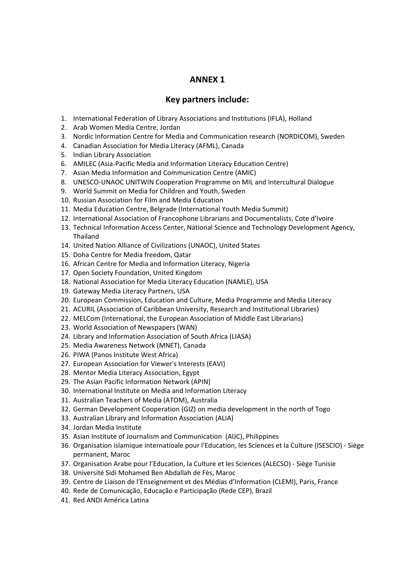## **ANNEX 1**

### **Key partners include:**

- 1. International Federation of Library Associations and Institutions (IFLA), Holland
- 2. Arab Women Media Centre, Jordan
- 3. Nordic Information Centre for Media and Communication research (NORDICOM), Sweden
- 4. Canadian Association for Media Literacy (AFML), Canada
- 5. Indian Library Association
- 6. AMILEC (Asia‐Pacific Media and Information Literacy Education Centre)
- 7. Asian Media Information and Communication Centre (AMIC)
- 8. UNESCO-UNAOC UNITWIN Cooperation Programme on MIL and Intercultural Dialogue
- 9. World Summit on Media for Children and Youth, Sweden
- 10. Russian Association for Film and Media Education
- 11. Media Education Centre, Belgrade (International Youth Media Summit)
- 12. International Association of Francophone Librarians and Documentalists, Cote d'Ivoire
- 13. Technical Information Access Center, National Science and Technology Development Agency, Thailand
- 14. United Nation Alliance of Civilizations (UNAOC), United States
- 15. Doha Centre for Media freedom, Qatar
- 16. African Centre for Media and Information Literacy, Nigeria
- 17. Open Society Foundation, United Kingdom
- 18. National Association for Media Literacy Education (NAMLE), USA
- 19. Gateway Media Literacy Partners, USA
- 20. European Commission, Education and Culture, Media Programme and Media Literacy
- 21. ACURIL (Association of Caribbean University, Research and Institutional Libraries)
- 22. MELCom (International, the European Association of Middle East Librarians)
- 23. World Association of Newspapers (WAN)
- 24. Library and Information Association of South Africa (LIASA)
- 25. Media Awareness Network (MNET), Canada
- 26. PIWA (Panos Institute West Africa)
- 27. European Association for Viewer's Interests (EAVI)
- 28. Mentor Media Literacy Association, Egypt
- 29. The Asian Pacific Information Network (APIN)
- 30. International Institute on Media and Information Literacy
- 31. Australian Teachers of Media (ATOM), Australia
- 32. German Development Cooperation (GIZ) on media development in the north of Togo
- 33. Australian Library and Information Association (ALIA)
- 34. Jordan Media Institute
- 35. Asian Institute of Journalism and Communication (AIJC), Philippines
- 36. Organisation islamique internatioale pour l'Education, les Sciences et la Culture (ISESCIO) ‐ Siège permanent, Maroc
- 37. Organisation Arabe pour l'Education, la Culture et les Sciences (ALECSO) ‐ Siège Tunisie
- 38. Université Sidi Mohamed Ben Abdallah de Fès, Maroc
- 39. Centre de Liaison de l'Enseignement et des Médias d'Information (CLEMI), Paris, France
- 40. Rede de Comunicação, Educação e Participação (Rede CEP), Brazil
- 41. Red ANDI América Latina